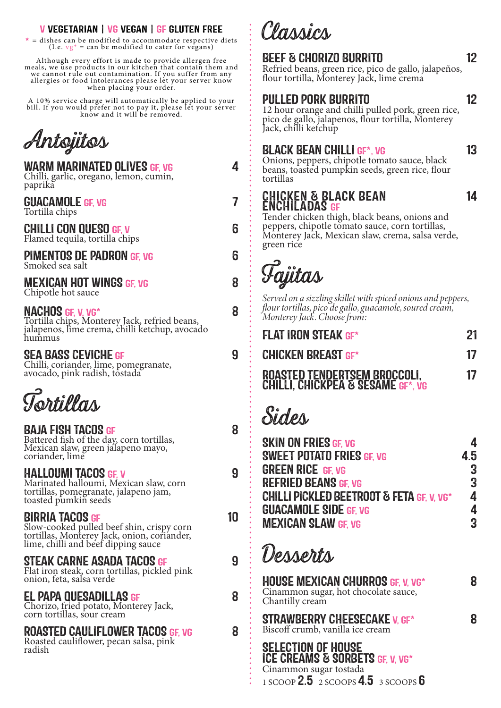#### V VEGETARIAN | VG VEGAN | GF GLUTEN FREE

 $*$  = dishes can be modified to accommodate respective diets (I.e.  $vg^* = can$  be modified to cater for vegans)

Although every effort is made to provide allergen free meals, we use products in our kitchen that contain them and we cannot rule out contamination. If you suffer from any allergies or food intolerances please let your server know when placing your order.

A 10% service charge will automatically be applied to your bill. If you would prefer not to pay it, please let your server know and it will be removed.

**Antojitos**

| <b>WARM MARINATED OLIVES GF, VG</b><br>Chilli, garlic, oregano, lemon, cumin,<br>paprikă | <u>ለ</u> |
|------------------------------------------------------------------------------------------|----------|
| <b>GUACAMOLE GF, VG</b><br>Tortilla chips                                                | 7        |
| <b>CHILLI CON QUESO GF, V</b><br>Flamed tequila, tortilla chips                          | 6        |
| <b>PIMENTOS DE PADRON GF, VG</b><br>Smoked sea salt                                      | 6        |
| <b>MEXICAN HOT WINGS GF, VG</b><br>Chipotle hot sauce                                    | 8        |
| <b>NACHOS GF, V, VG*</b><br>Tortilla chips, Monterey Jack, refried beans,                | 8        |

jalapenos, lime crema, chilli ketchup, avocado hummus

#### SEA BASS CEVICHE GF 9

Chilli, coriander, lime, pomegranate, avocado, pink radish, tostada

**Tortillas**

#### BAJA FISH TACOS GF 8

Battered fish of the day, corn tortillas, Mexican slaw, green jalapeno mayo, coriander, lime

#### HALLOUMI TACOS GE V 9

Marinated halloumi, Mexican slaw, corn tortillas, pomegranate, jalapeno jam, toasted pumkin seeds

#### BIRRIA TACOS GF 10

Slow-cooked pulled beef shin, crispy corn tortillas, Monterey Jack, onion, coriander, lime, chilli and beef dipping sauce

#### STEAK CARNE ASADA TACOS GF 9

Flat iron steak, corn tortillas, pickled pink onion, feta, salsa verde

#### EL PAPA QUESADILLAS GF 8

Chorizo, fried potato, Monterey Jack, corn tortillas, sour cream

#### ROASTED CAULIFLOWER TACOS GF, VG 8

Roasted cauliflower, pecan salsa, pink radish

**Classics**

### BEEF & CHORIZO BURRITO 12

Refried beans, green rice, pico de gallo, jalapeños, flour tortilla, Monterey Jack, lime crema

## PULLED PORK BURRITO 12

12 hour orange and chilli pulled pork, green rice, pico de gallo, jalapenos, flour tortilla, Monterey Jack, chilli ketchup

#### BLACK BEAN CHILLI GF\*, VG 13

Onions, peppers, chipotle tomato sauce, black beans, toasted pumpkin seeds, green rice, flour tortillas

# CHICKEN & BLACK BEAN 14<br>ENCHILADAS GF

Tender chicken thigh, black beans, onions and peppers, chipotle tomato sauce, corn tortillas, Monterey Jack, Mexican slaw, crema, salsa verde, green rice



*Served on a sizzling skillet with spiced onions and peppers, flour tortillas, pico de gallo, guacamole, soured cream, Monterey Jack. Choose from:*

| <b>FLAT IRON STEAK GF*</b>                                                    | 21 |
|-------------------------------------------------------------------------------|----|
| <b>CHICKEN BREAST GF*</b>                                                     | 17 |
| <b>ROASTED TENDERTSEM BROCCOLI,<br/>CHILLI, CHICKPEA &amp; SESAME GF*, VG</b> | 17 |

# **Sides**

| <b>SKIN ON FRIES GF. VG</b>                          | 4              |
|------------------------------------------------------|----------------|
| <b>SWEET POTATO FRIES GF. VG</b>                     | 4.5            |
| <b>GREEN RICE GF. VG</b>                             | 3              |
| <b>REFRIED BEANS GF. VG</b>                          | $\overline{3}$ |
| <b>CHILLI PICKLED BEETROOT &amp; FETA GF. V. VG*</b> | 4              |
| <b>GUACAMOLE SIDE GF. VG</b>                         | 4              |
| <b>MEXICAN SLAW GF. VG</b>                           | 3              |

# **Desserts**

HOUSE MEXICAN CHURROS GF, V, VG\*  $8$ Cinammon sugar, hot chocolate sauce, Chantilly cream STRAWBERRY CHEESECAKE V, GF\* 8 Biscoff crumb, vanilla ice cream

SELECTION OF HOUSE ICE CREAMS & SORBETS GF, V, VG\* Cinammon sugar tostada 1 SCOOP 2.5 2 SCOOPS 4.5 3 SCOOPS 6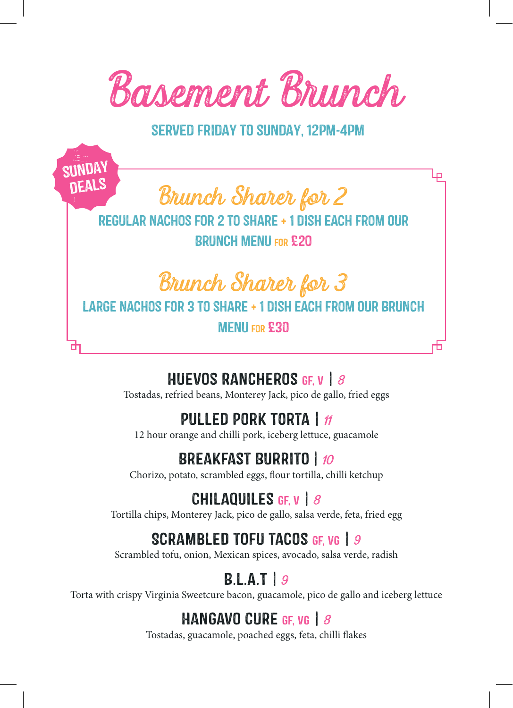

served friday to sunday, 12pm-4pm

**Brunch Sharer for 2**

sunday deals

> Regular Nachos for 2 to share + 1 dish each from our Brunch menu for £20

> > **Brunch Sharer for 3**

LARGE NACHOS FOR 3 TO SHARE + 1 DISH FACH FROM OUR BRUNCH

Menu for £30

## Huevos Rancheros gf, v | **8**

Tostadas, refried beans, Monterey Jack, pico de gallo, fried eggs

## PULLED PORK TORTA |  $n$

12 hour orange and chilli pork, iceberg lettuce, guacamole

## Breakfast Burrito | **10**

Chorizo, potato, scrambled eggs, flour tortilla, chilli ketchup

#### Chilaquiles gf, v | **8**

Tortilla chips, Monterey Jack, pico de gallo, salsa verde, feta, fried egg

## Scrambled tofu tacos gf, vg | **9**

Scrambled tofu, onion, Mexican spices, avocado, salsa verde, radish

## B.L.A.T | **9**

Torta with crispy Virginia Sweetcure bacon, guacamole, pico de gallo and iceberg lettuce

#### HangAvo Cure gf, vg | **8**

Tostadas, guacamole, poached eggs, feta, chilli flakes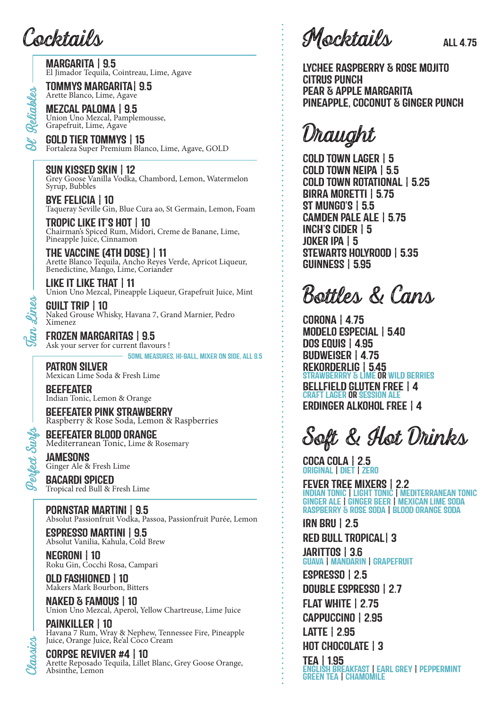**Cocktails**

MARGARITA | 9.5 El Jimador Tequila, Cointreau, Lime, Agave

TOMMYS MARGARITA| 9.5 Arette Blanco, Lime, Agave

MEZCAL PALOMA | 9.5 Union Uno Mezcal, Pamplemousse, Grapefruit, Lime, Agave

GOLD TIER TOMMYS | 15 Fortaleza Super Premium Blanco, Lime, Agave, GOLD

SUN KISSED SKIN | 12 Grey Goose Vanilla Vodka, Chambord, Lemon, Watermelon Syrup, Bubbles

BYE FELICIA | 10 Taqueray Seville Gin, Blue Cura ao, St Germain, Lemon, Foam

TROPIC LIKE IT'S HOT | 10 Chairman's Spiced Rum, Midori, Creme de Banane, Lime, Pineapple Juice, Cinnamon

THE VACCINE (4TH DOSE) | 11 Arette Blanco Tequila, Ancho Reyes Verde, Apricot Liqueur, Benedictine, Mango, Lime, Coriander

LIKE IT LIKE THAT | 11 Union Uno Mezcal, Pineapple Liqueur, Grapefruit Juice, Mint

GUILT TRIP | 10 Naked Grouse Whisky, Havana 7, Grand Marnier, Pedro Ximenez

FROZEN MARGARITAS | 9.5 Ask your server for current flavours !

50ml Measures, Hi-Ball, Mixer on Side, all 9.5

PATRON SILVER Mexican Lime Soda & Fresh Lime

BEEFEATER Indian Tonic, Lemon & Orange

BEEFEATER PINK STRAWBERRY Raspberry & Rose Soda, Lemon & Raspberries

BEEFEATER BLOOD ORANGE Mediterranean Tonic, Lime & Rosemary

JAMESONS Ginger Ale & Fresh Lime

BACARDI SPICED Tropical red Bull & Fresh Lime

Pornstar Martini | 9.5 Absolut Passionfruit Vodka, Passoa, Passionfruit Purée, Lemon

ESPRESSO MARTINI | 9.5 Absolut Vanilia, Kahula, Cold Brew

NEGRONI | 10 Roku Gin, Cocchi Rosa, Campari

OLD FASHIONED | 10 Makers Mark Bourbon, Bitters

**Classics**

NAKED & FAMOUS | 10 Union Uno Mezcal, Aperol, Yellow Chartreuse, Lime Juice

PAINKILLER | 10 Havana 7 Rum, Wray & Nephew, Tennessee Fire, Pineapple Juice, Orange Juice, Re'al Cōco Cream

CORPSE REVIVER #4 | 10 Arette Reposado Tequila, Lillet Blanc, Grey Goose Orange, Absinthe, Lemon

**Mocktails** ALL 4.75

LYCHEE RASPBERRY & ROSE MOJITO CITRUS PUNCH PEAR & APPLE MARGARITA PINEAPPLE, COCONUT & GINGER PUNCH

**Draught**

COLD TOWN LAGER | 5 COLD TOWN NEIPA | 5.5 COLD TOWN ROTATIONAL | 5.25 BIRRA MORETTI | 5.75 ST MUNGO'S | 5.5 CAMDEN PALE ALE | 5.75 INCH'S CIDER | 5 JOKER IPA | 5 STEWARTS HOLYROOD | 5.35 GUINNESS | 5.95

**Bottles & Cans**

CORONA | 4.75 MODELO ESPECIAL | 5.40 DOS EQUIS | 4.95 BUDWEISER | 4.75 REKORDERLIG | 5.45 STRAWBERRRY & LIME OR WILD BERRIES BELLFIELD GLUTEN FREE | 4 CRAFT LAGER OR SESSION ALE ERDINGER ALKOHOL FREE | 4

**Soft & Hot Drinks**

COCA COLA | 2.5 ORIGINAL | DIET | ZERO

FEVER TREE MIXERS | 2.2 INDIAN TONIC | LIGHT TONIC | MEDITERRANEAN TONIC GINGER ALE | GINGER BEER | MEXICAN LIME SODA RASPBERRY & ROSE SODA | BLOOD ORANGE SODA

IRN BRU | 2.5 RED BULL TROPICAL| 3 JARITTOS | 3.6 GUAVA | MANDARIN | GRAPEFRUIT ESPRESSO | 2.5

GREEN TEA | CHAMOMILE

DOUBLE ESPRESSO | 2.7 FLAT WHITE | 2.75 CAPPUCCINO | 2.95 LATTE | 2.95 HOT CHOCOLATE | 3 TEA | 1.95 ENGLISH BREAKFAST | EARL GREY | PEPPERMINT

**Tan Lines**

**Perfect Surfs**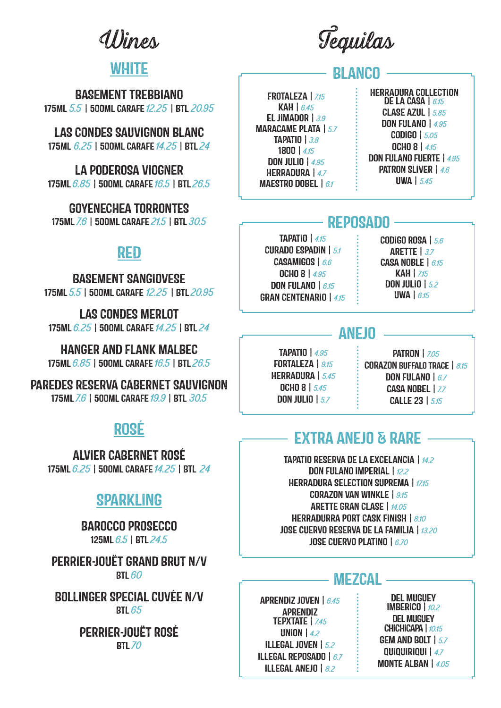**Wines**

# WHITE

BASEMENT TREBBIANO 175ML **5.5**| 500ML CARAFE **12.25**| BTL **20.95**

LAS CONDES SAUVIGNON BLANC 175ML **6.25** | 500ML CARAFE **14.25** | BTL **24**

LA PODEROSA VIOGNER 175ML **6.85** | 500ML CARAFE **16.5** | BTL **26.5**

GOYENECHEA TORRONTES 175ML **7.6** | 500ML CARAFE **21.5** | BTL **30.5**

# RED

BASEMENT SANGIOVESE 175ML **5.5** | 500ML CARAFE **12.25** | BTL **20.95**

LAS CONDES MERLOT 175ML **6.25** | 500ML CARAFE **14.25** | BTL **24**

HANGER AND FLANK MALBEC 175ML **6.85** | 500ML CARAFE **16.5** | BTL **26.5**

PAREDES RESERVA CABERNET SAUVIGNON 175ML **7.6** | 500ML CARAFE **19.9** | BTL **30.5**

# ROSÉ

ALVIER CABERNET ROSÉ 175ML **6.25** | 500ML CARAFE **14.25** | BTL **24**

# SPARKLING

BAROCCO PROSECCO 125ML **6.5** | BTL **24.5**

PERRIER-JOUËT GRAND BRUT N/V BTL **60**

BOLLINGER SPECIAL CUVÉE N/V BTL **65**

> PERRIER-JOUËT ROSÉ BTL **70**

**Tequilas**

# **BLANCO**

FROTALEZA | **7.15** KAH | **6.45** EL JIMADOR | **3.9** MARACAME PLATA | **5.7** TAPATIO | **3.8** 1800 | **4.15** DON JULIO | **4.95** HERRADURA | **4.7** MAESTRO DOBEL | **6.1**

HERRADURA COLLECTION DE LA CASA | **6.15** CLASE AZUL | **5.85** DON FULANO | **4.95** CODIGO | **5.05** OCHO 8 | **4.15** DON FULANO FUERTE | **4.95** PATRON SLIVER | **4.6** UWA | **5.45**

# **REPOSADO**

TAPATIO | **4.15** CURADO ESPADIN | **5.1** CASAMIGOS | **6.6** OCHO 8 | **4.95** DON FULANO | **6.15** GRAN CENTENARIO | **4.15** CODIGO ROSA | **5.6** ARETTE | **3.7** CASA NOBLE | **6.15** KAH | **7.15** DON JULIO | **5.2** UWA | **6.15**

## **ANE IN**

TAPATIO | **4.95 FORTALEZA** | 9.15 HERRADURA | **5.45** OCHO 8 | **5.45** DON JULIO | **5.7**

PATRON | **7.05** CORAZON BUFFALO TRACE | **8.15** DON FULANO | **6.7** CASA NOBEL | **7.7** CALLE 23 | **5.15**

# EXTRA ANEJO & RARE

TAPATIO RESERVA DE LA EXCELANCIA | **14.2** DON FULANO IMPERIAL | **12.2** HERRADURA SELECTION SUPREMA | **17.15** CORAZON VAN WINKLE | **9.15** ARETTE GRAN CLASE | **14.05** HERRADURRA PORT CASK FINISH | **8.10** JOSE CUERVO RESERVA DE LA FAMILIA | **13.20** JOSE CUERVO PLATINO | **6.70**

## ME7CAL

APRENDIZ JOVEN | **6.45** APRENDIZ TEPXTATE | **7.45** UNION | **4.2** ILLEGAL JOVEN | **5.2** ILLEGAL REPOSADO | **6.7** ILLEGAL ANEJO | **8.2**

DEL MUGUEY IMBERICO | **10.2** DEL MUGUEY CHICHICAPA | **10.15** GEM AND BOLT | **5.7** QUIQUIRIQUI | **4.7** MONTE ALBAN | **4.05**